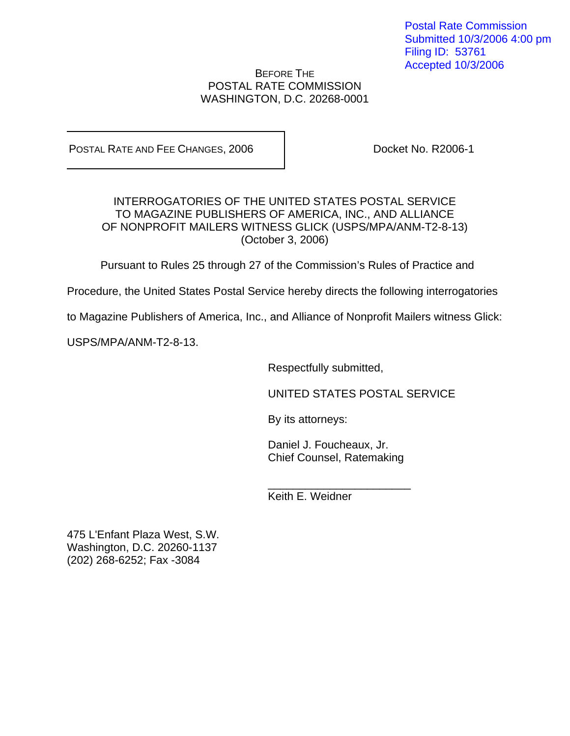Postal Rate Commission Submitted 10/3/2006 4:00 pm Filing ID: 53761 Accepted 10/3/2006

## BEFORE THE POSTAL RATE COMMISSION WASHINGTON, D.C. 20268-0001

POSTAL RATE AND FEE CHANGES, 2006 | Docket No. R2006-1

INTERROGATORIES OF THE UNITED STATES POSTAL SERVICE TO MAGAZINE PUBLISHERS OF AMERICA, INC., AND ALLIANCE OF NONPROFIT MAILERS WITNESS GLICK (USPS/MPA/ANM-T2-8-13) (October 3, 2006)

Pursuant to Rules 25 through 27 of the Commission's Rules of Practice and

Procedure, the United States Postal Service hereby directs the following interrogatories

to Magazine Publishers of America, Inc., and Alliance of Nonprofit Mailers witness Glick:

USPS/MPA/ANM-T2-8-13.

Respectfully submitted,

UNITED STATES POSTAL SERVICE

By its attorneys:

Daniel J. Foucheaux, Jr. Chief Counsel, Ratemaking

\_\_\_\_\_\_\_\_\_\_\_\_\_\_\_\_\_\_\_\_\_\_\_

Keith E. Weidner

475 L'Enfant Plaza West, S.W. Washington, D.C. 20260-1137 (202) 268-6252; Fax -3084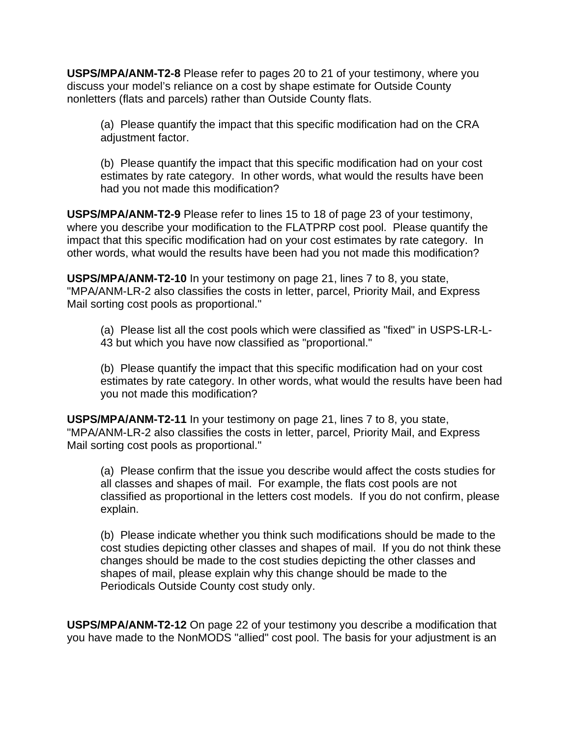**USPS/MPA/ANM-T2-8** Please refer to pages 20 to 21 of your testimony, where you discuss your model's reliance on a cost by shape estimate for Outside County nonletters (flats and parcels) rather than Outside County flats.

(a) Please quantify the impact that this specific modification had on the CRA adjustment factor.

(b) Please quantify the impact that this specific modification had on your cost estimates by rate category. In other words, what would the results have been had you not made this modification?

**USPS/MPA/ANM-T2-9** Please refer to lines 15 to 18 of page 23 of your testimony, where you describe your modification to the FLATPRP cost pool. Please quantify the impact that this specific modification had on your cost estimates by rate category. In other words, what would the results have been had you not made this modification?

**USPS/MPA/ANM-T2-10** In your testimony on page 21, lines 7 to 8, you state, "MPA/ANM-LR-2 also classifies the costs in letter, parcel, Priority Mail, and Express Mail sorting cost pools as proportional."

(a) Please list all the cost pools which were classified as "fixed" in USPS-LR-L-43 but which you have now classified as "proportional."

(b) Please quantify the impact that this specific modification had on your cost estimates by rate category. In other words, what would the results have been had you not made this modification?

**USPS/MPA/ANM-T2-11** In your testimony on page 21, lines 7 to 8, you state, "MPA/ANM-LR-2 also classifies the costs in letter, parcel, Priority Mail, and Express Mail sorting cost pools as proportional."

(a) Please confirm that the issue you describe would affect the costs studies for all classes and shapes of mail. For example, the flats cost pools are not classified as proportional in the letters cost models. If you do not confirm, please explain.

(b) Please indicate whether you think such modifications should be made to the cost studies depicting other classes and shapes of mail. If you do not think these changes should be made to the cost studies depicting the other classes and shapes of mail, please explain why this change should be made to the Periodicals Outside County cost study only.

**USPS/MPA/ANM-T2-12** On page 22 of your testimony you describe a modification that you have made to the NonMODS "allied" cost pool. The basis for your adjustment is an